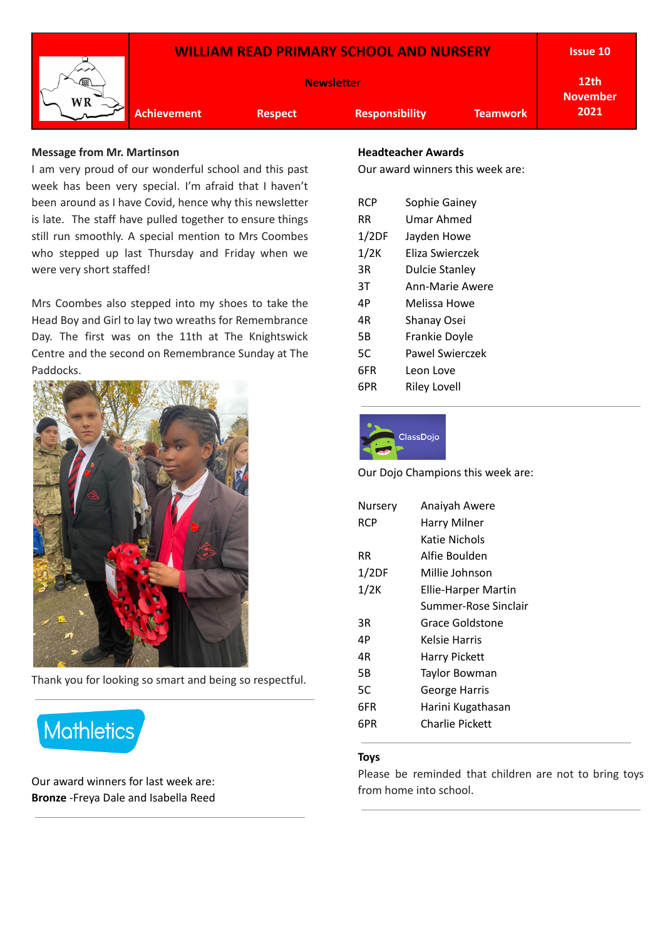

#### **Message from Mr. Martinson**

I am very proud of our wonderful school and this past week has been very special. I'm afraid that I haven't been around as I have Covid, hence why this newsletter is late. The staff have pulled together to ensure things still run smoothly. A special mention to Mrs Coombes who stepped up last Thursday and Friday when we were very short staffed!

Mrs Coombes also stepped into my shoes to take the Head Boy and Girl to lay two wreaths for Remembrance Day. The first was on the 11th at The Knightswick Centre and the second on Remembrance Sunday at The Paddocks.



Thank you for looking so smart and being so respectful.

# **Mathletics**

Our award winners for last week are: **Bronze** -Freya Dale and Isabella Reed

# **Headteacher Awards**

Our award winners this week are:

| RCP   | Sophie Gainey          |
|-------|------------------------|
| RR    | Umar Ahmed             |
| 1/2DF | Jayden Howe            |
| 1/2K  | Fliza Swierczek        |
| 3R    | <b>Dulcie Stanley</b>  |
| ЗT    | <b>Ann-Marie Awere</b> |
| 4Р    | Melissa Howe           |
| 4R    | Shanay Osei            |
| 5B    | Frankie Doyle          |
| 5C    | Pawel Swierczek        |
| 6FR   | Leon Love              |
| 6PR   | Riley Lovell           |



Our Dojo Champions this week are:

| Anaiyah Awere        |  |
|----------------------|--|
| Harry Milner         |  |
| Katie Nichols        |  |
| Alfie Boulden        |  |
| Millie Johnson       |  |
| Ellie-Harper Martin  |  |
| Summer-Rose Sinclair |  |
| Grace Goldstone      |  |
| Kelsie Harris        |  |
| Harry Pickett        |  |
| Taylor Bowman        |  |
| George Harris        |  |
| Harini Kugathasan    |  |
| Charlie Pickett      |  |
|                      |  |

## **Toys**

Please be reminded that children are not to bring toys from home into school.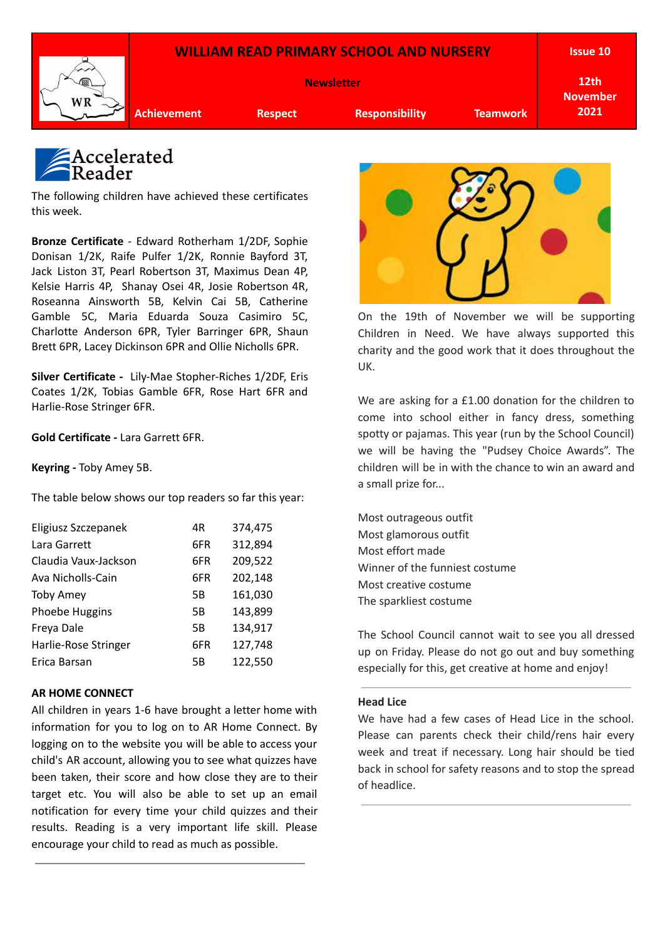



The following children have achieved these certificates this week.

**Bronze Certificate** - Edward Rotherham 1/2DF, Sophie Donisan 1/2K, Raife Pulfer 1/2K, Ronnie Bayford 3T, Jack Liston 3T, Pearl Robertson 3T, Maximus Dean 4P, Kelsie Harris 4P, Shanay Osei 4R, Josie Robertson 4R, Roseanna Ainsworth 5B, Kelvin Cai 5B, Catherine Gamble 5C, Maria Eduarda Souza Casimiro 5C, Charlotte Anderson 6PR, Tyler Barringer 6PR, Shaun Brett 6PR, Lacey Dickinson 6PR and Ollie Nicholls 6PR.

**Silver Certificate -** Lily-Mae Stopher-Riches 1/2DF, Eris Coates 1/2K, Tobias Gamble 6FR, Rose Hart 6FR and Harlie-Rose Stringer 6FR.

**Gold Certificate -** Lara Garrett 6FR.

**Keyring -** Toby Amey 5B.

The table below shows our top readers so far this year:

| 4R  | 374,475 |
|-----|---------|
| 6FR | 312,894 |
| 6FR | 209,522 |
| 6FR | 202,148 |
| 5B  | 161,030 |
| 5B  | 143,899 |
| 5B  | 134,917 |
| 6FR | 127,748 |
| 5B  | 122,550 |
|     |         |

#### **AR HOME CONNECT**

All children in years 1-6 have brought a letter home with information for you to log on to AR Home Connect. By logging on to the website you will be able to access your child's AR account, allowing you to see what quizzes have been taken, their score and how close they are to their target etc. You will also be able to set up an email notification for every time your child quizzes and their results. Reading is a very important life skill. Please encourage your child to read as much as possible.



On the 19th of November we will be supporting Children in Need. We have always supported this charity and the good work that it does throughout the UK.

We are asking for a £1.00 donation for the children to come into school either in fancy dress, something spotty or pajamas. This year (run by the School Council) we will be having the "Pudsey Choice Awards". The children will be in with the chance to win an award and a small prize for...

Most outrageous outfit Most glamorous outfit Most effort made Winner of the funniest costume Most creative costume The sparkliest costume

The School Council cannot wait to see you all dressed up on Friday. Please do not go out and buy something especially for this, get creative at home and enjoy!

#### **Head Lice**

We have had a few cases of Head Lice in the school. Please can parents check their child/rens hair every week and treat if necessary. Long hair should be tied back in school for safety reasons and to stop the spread of headlice.